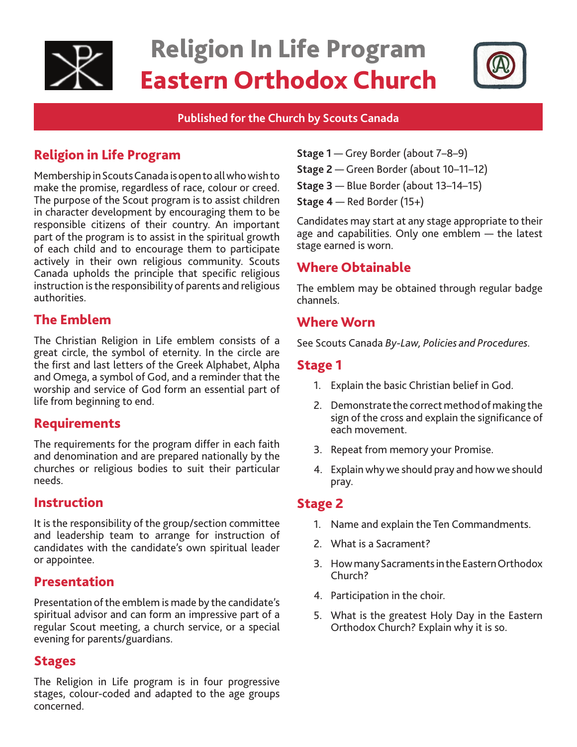

# Religion In Life Program Eastern Orthodox Church



#### **Published for the Church by Scouts Canada**

# Religion in Life Program

Membership in Scouts Canada is open to all who wish to make the promise, regardless of race, colour or creed. The purpose of the Scout program is to assist children in character development by encouraging them to be responsible citizens of their country. An important part of the program is to assist in the spiritual growth of each child and to encourage them to participate actively in their own religious community. Scouts Canada upholds the principle that specific religious instruction is the responsibility of parents and religious authorities.

## The Emblem

The Christian Religion in Life emblem consists of a great circle, the symbol of eternity. In the circle are the first and last letters of the Greek Alphabet, Alpha and Omega, a symbol of God, and a reminder that the worship and service of God form an essential part of life from beginning to end.

## Requirements

The requirements for the program differ in each faith and denomination and are prepared nationally by the churches or religious bodies to suit their particular needs.

#### Instruction

It is the responsibility of the group/section committee and leadership team to arrange for instruction of candidates with the candidate's own spiritual leader or appointee.

### Presentation

Presentation of the emblem is made by the candidate's spiritual advisor and can form an impressive part of a regular Scout meeting, a church service, or a special evening for parents/guardians.

#### Stages

The Religion in Life program is in four progressive stages, colour-coded and adapted to the age groups concerned.

- **Stage 1** Grey Border (about 7–8–9)
- **Stage 2**  Green Border (about 10–11–12)
- **Stage 3** Blue Border (about 13–14–15)
- **Stage 4** Red Border (15+)

Candidates may start at any stage appropriate to their age and capabilities. Only one emblem — the latest stage earned is worn.

# Where Obtainable

The emblem may be obtained through regular badge channels.

## Where Worn

See Scouts Canada *By-Law, Policies and Procedures.* 

### Stage 1

- 1. Explain the basic Christian belief in God.
- 2. Demonstrate the correct method of making the sign of the cross and explain the significance of each movement.
- 3. Repeat from memory your Promise.
- 4. Explain why we should pray and how we should pray.

### Stage 2

- 1. Name and explain the Ten Commandments.
- 2. What is a Sacrament?
- 3. How many Sacraments in the Eastern Orthodox Church?
- 4. Participation in the choir.
- 5. What is the greatest Holy Day in the Eastern Orthodox Church? Explain why it is so.